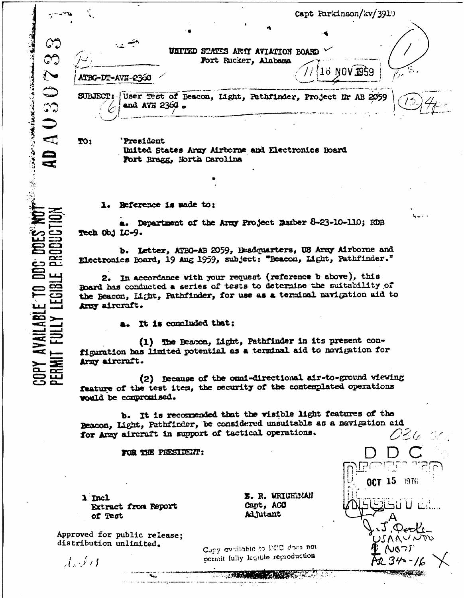|                                        |                   |                      | Capt Parkinson/kv/3910                            |                                                    |  |                                                            |  |  |
|----------------------------------------|-------------------|----------------------|---------------------------------------------------|----------------------------------------------------|--|------------------------------------------------------------|--|--|
| $\mathbb{C}^{\bullet}$<br>$\mathbb{C}$ |                   |                      | <b>UNITURD</b>                                    | STATES ARTI AVIATION BOARD<br>Fort Rucker, Alabama |  |                                                            |  |  |
| $\sum_{i=1}^{n}$                       | ATBG-DT-AVII-2360 |                      |                                                   |                                                    |  | 16 NOV <b>195</b> 9                                        |  |  |
| ستند<br>س<br>$\mathbb{C}$              | SUBJECT:          | and AVE 2360 $\circ$ |                                                   |                                                    |  | User Test of Beacon, Light, Pathfinder, Project Ir AB 2059 |  |  |
| $\overline{\phantom{a}}$               | IO:               | <b>President</b>     | United States Army Airborne and Electronics Board |                                                    |  |                                                            |  |  |

1. Reference is made to:

Fort Bragg, North Carolina

● 「大学のことは、「大学のことを見たいから」「大学」「いったい」「大学」

**AVAILABLE TO DDG DDI** 

**LEGIBLI** 

 $\mathbf{a}$ 

a. Department of the Army Project Number 8-23-10-110; RDB Tech Obj LC-9.

b. Letter, ATBG-AB 2059, Headquarters, US Army Airborne and Klectronics Board, 19 Aug 1959, subject: "Beacon, Light, Pathfinder."

2. In accordance with your request (reference b above), this Board has conducted a series of tests to determine the suitability of the Beacon, Light, Pathfinder, for use as a terminal navigation aid to Army aircraft.

a. It is concluded that:

(1) The Beacon, Light, Pathfinder in its present configuration has limited potential as a terminal aid to navigation for Army aircraft.

(2) Because of the cumi-directional air-to-ground wiewing feature of the test item, the security of the contemplated operations would be compromised.

b. It is recommended that the visible light features of the Beacon, Light, Pathfinder, be considered unsuitable as a navigation aid for Army aircraft in support of tactical operations. 026

FOR THE PRESIDENT:

1 Incl Extract from Report of Test

E. R. WRIGHTMAN Capt, AGO Adjutant

OCT 15 1976

 $Q$ ecle

NOTS

へいへいへん

Approved for public release; distribution unlimited.

 $\mathcal{A}_n$  ,  $\ell$  ,  $\ell$ 

Copy available to DPC does not permit fully legible reproduction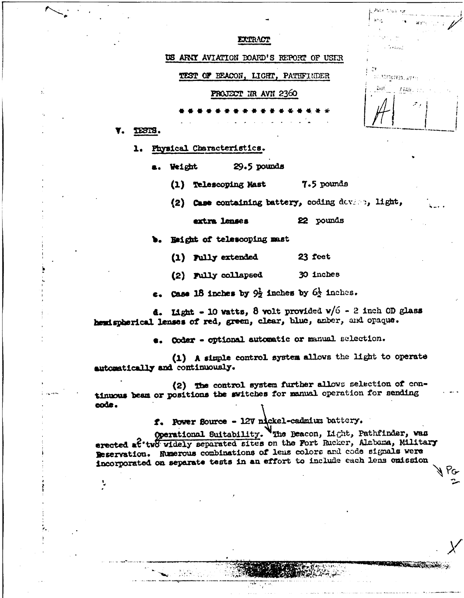|                                         | 87 n.<br>$\mathcal{H}(\mathcal{V}^{\text{H}}) = \mathcal{V}(\mathcal{V}^{\text{H}}) \cap \mathcal{E}^{\text{H}}$ |  |  |
|-----------------------------------------|------------------------------------------------------------------------------------------------------------------|--|--|
| EXTRACT                                 | in a Saarang                                                                                                     |  |  |
| US ARKY AVIATION DOARD'S REPORT OF USER |                                                                                                                  |  |  |
| TEST OF BEACON, LIGHT, PATHFINDER       | ЮY<br>ослования, духе п                                                                                          |  |  |
| PROJECT IR AVN 2360                     | Dist.<br>. 歴帳 にっしょう                                                                                              |  |  |
|                                         | $\mathcal{L}^{\mathcal{P}}(\mathcal{E})$                                                                         |  |  |
|                                         |                                                                                                                  |  |  |
|                                         |                                                                                                                  |  |  |

E Autor trust for

**NCR**

**V. TESs.**

**1.** Pysical Characteristics.

Weight **29.5 pounds** 

**(1)** Telescoping **Mast** *.5* pounds

(2) **Case** containing battery, coding devert, light,

extra lenses 22 pounds

**b.** Beight of telescoping mast

(1) rally extended **23** feet

(2) Fully collapsed **30** inches

**e.** *cae* **IS inc s by** 9i inches **by 61** inches.

**d.** ht **- <sup>10</sup>**vatts, **8** volt provided v/6 **- 2'** inch **OD** glass hemispherical lenses of red, green, clear, blue, amber, and opaque.

**e.** Coder - optional automatic or manual selection.

**(1) A** siciple control system **allows the** light to operate **automticlly** and continuouly.

(2) **The** control system further **aUlows** selection of **con**tinuous beam or positions the switches for manual operation for sending **\* code.**

f. Power Source - 12V nickel-cadmium battery.

Operational Suitability. Whe Beacon, Light, Pathfinder, van erected at two widely separated sites on the Fort Rucker, Alabama, Military Reservation. Numerous combinations of leus colors and code signals were Incorporated **on** separate tests in *anr* effort to include each lens **emission,**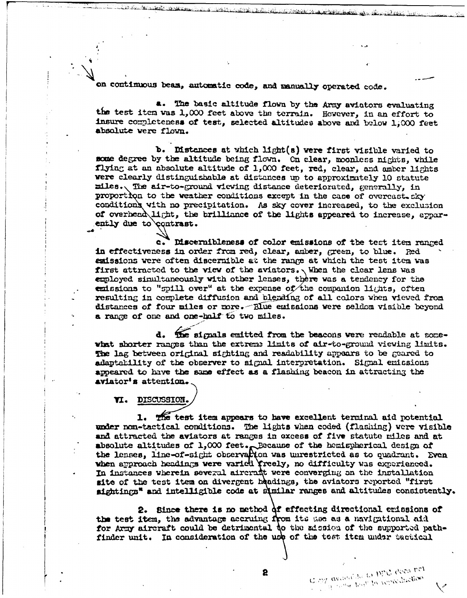on continuous beam, automatic code, and manually operated code.

**a.** The basic altitude flown by the Army aviators evaluating the test item **vas** 1,000 feet above the terrain. However, in an effort to insure completeness of test, selected altitudes above and below 1,000 feet absolute were flown.

**b.** Distances at vhich light(s) were first visible varied to *wme* degree by the altitude being flown. **Cn** clear, moonless nights, while **flying** at an absolute altitude of 1,000 feet, red, clear, and amber lights were clearly distinguishable at distances up to approximately 10 statute miles. **The** air-to-ground viewing distance deteriorated, generally, in proportion to the weather conditions except in the case of overcast. sky conditions with no precipitation. As sky cover increased, to the exclusion of overhead light, the brilliance of the lights appeared to increase, apparently due to contrast.

**a. iscernibleness of** color emissions of the tect item ranged in effectiveness in order from red, clear, amber, green, to blue. **Red** emissions were often discernible at the range at which the test item was first attracted to the view of the aviators. When the clear lens was employed simultaneously with other lenses, there was a tendency for the emissions to "spill over" at the expense of the companion lights, often resulting in complete diffusion and blending of all colors when viewed from distances of four miles or more. Alue emissions were seldom visible beyond a range of one and one-half to two miles.

d. The signals emitted from the beacons were readable at somewhat shorter ranges than the extreme limits of air-to-ground viewing limits. **The lag** between **original** sighting and readability appears to be gared to adaptability of the observer to signal interpretation. Signal emissions apeared to have the same effect **as** a flashing beacon in attracting the aviator' attention.

**Ti. DISCUSSIONI.**

1. The test item appears to have excellent terminal aid potential under non-tactical conditions. The lights when coded (flashing) were visible and attracted the aviators at ranges in excess of five statute miles and at solute altitudes of  $1,000$  feet. Eccause of the hemispherical design of ses, line-of-sight observation was unrestricted as to quadrant. Even when approach headings were varied freely, no difficulty was experienced. In instances wherein several aircraft were converging an the installation site of the test item on divergent headings, the aviators reported "first sightings" and intelligible code at similar ranges and altitudes consistently.

2. Since there is no method of effecting directional emissions of the test item, the advantage accruing from its was as a navigational aid for Army aircraft could be detrimental to the mission of the supported pathfinder unit. In consideration of the use of the test item under tuctical

Globy available to ppt. does not Copy available to the manufaction